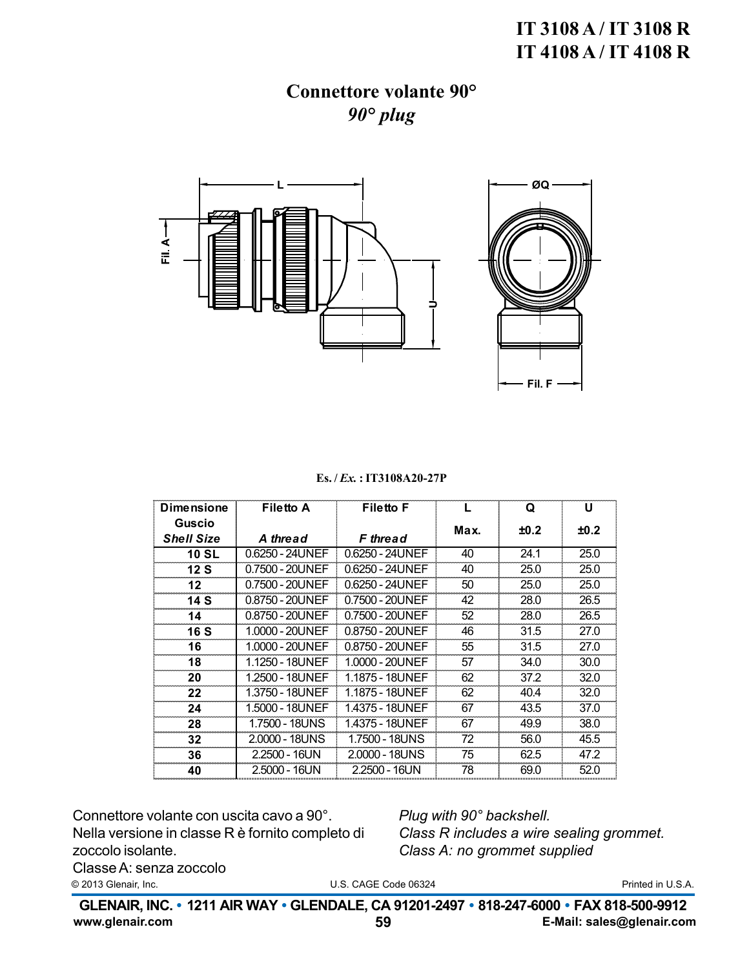# IT 3108 A/IT 3108 R IT 4108 A / IT 4108 R

# **Connettore volante 90°**  $90^\circ$  plug



Es./*Ex.*: IT3108A20-27P

| <b>Dimensione</b> | <b>Filetto A</b> | <b>Filetto F</b> |      | Q    | U    |
|-------------------|------------------|------------------|------|------|------|
| Guscio            |                  |                  | Max. | ±0.2 | ±0.2 |
| <b>Shell Size</b> | A thread         | <b>F</b> thread  |      |      |      |
| <b>10 SL</b>      | 0.6250 - 24UNEF  | 0.6250 - 24UNEF  | 40   | 24.1 | 25.0 |
| 12S               | 0.7500 - 20UNEF  | 0.6250 - 24UNEF  | 40   | 25.0 | 25.0 |
| 12 <sub>2</sub>   | 0.7500 - 20UNEF  | 0.6250 - 24UNEF  | 50   | 25.0 | 25.0 |
| 14 S              | 0.8750 - 20UNEF  | 0.7500 - 20UNEF  | 42   | 28.0 | 26.5 |
| 14                | 0.8750 - 20UNEF  | 0.7500 - 20UNEF  | 52   | 28.0 | 26.5 |
| 16 S              | 1.0000 - 20UNEF  | 0.8750 - 20UNEF  | 46   | 31.5 | 27.0 |
| 16                | 1.0000 - 20UNEF  | 0.8750 - 20UNEF  | 55   | 31.5 | 27.0 |
| 18                | 1.1250 - 18UNEF  | 1.0000 - 20UNEF  | 57   | 34.0 | 30.0 |
| 20                | 1.2500 - 18UNEF  | 1.1875 - 18UNEF  | 62   | 37.2 | 32.0 |
| 22                | 1.3750 - 18UNEF  | 1.1875 - 18UNEF  | 62   | 40.4 | 32.0 |
| 24                | 1.5000 - 18UNEF  | 1.4375 - 18UNEF  | 67   | 43.5 | 37.0 |
| 28                | 1.7500 - 18UNS   | 1.4375 - 18UNEF  | 67   | 49.9 | 38.0 |
| 32                | 2.0000 - 18UNS   | 1.7500 - 18UNS   | 72   | 56.0 | 45.5 |
| 36                | 2.2500 - 16UN    | 2.0000 - 18UNS   | 75   | 62.5 | 47.2 |
| 40                | 2.5000 - 16UN    | 2.2500 - 16UN    | 78   | 69.0 | 52.0 |

Connettore volante con uscita cavo a 90°. Nella versione in classe R è fornito completo di zoccolo isolante.

Plug with 90° backshell. Class R includes a wire sealing grommet. Class A: no grommet supplied

Classe A: senza zoccolo © 2013 Glenair, Inc.

U.S. CAGE Code 06324

Printed in U.S.A.

GLENAIR, INC. • 1211 AIR WAY • GLENDALE, CA 91201-2497 • 818-247-6000 • FAX 818-500-9912 www.glenair.com E-Mail: sales@glenair.com 59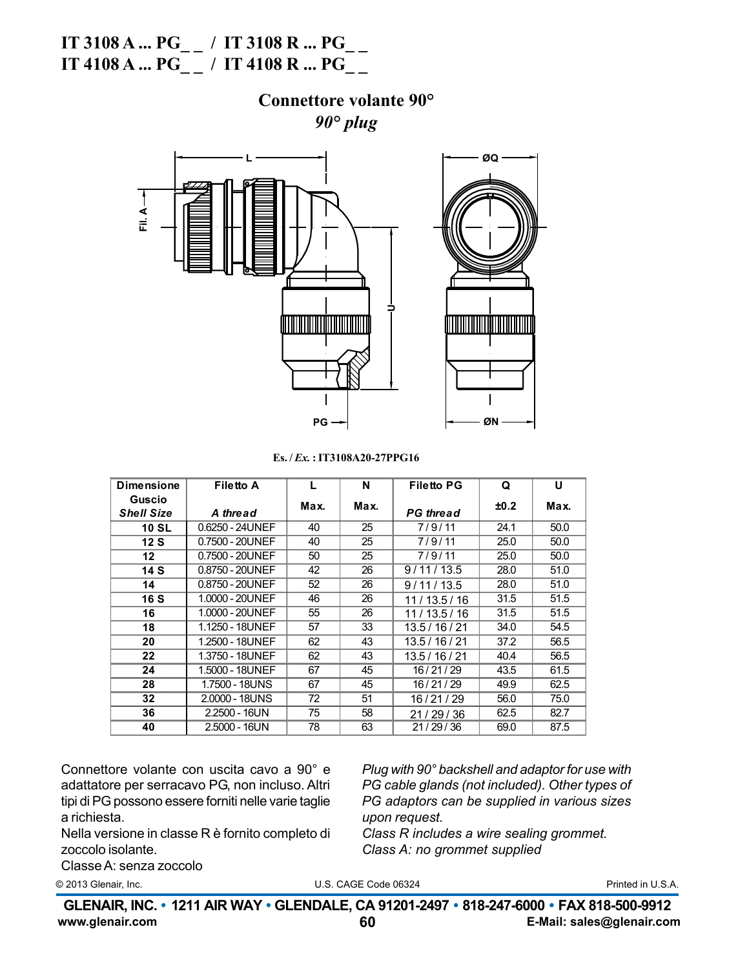# **IT 3108 A ... PG\_ \_ / IT 3108 R ... PG\_ \_ IT 4108 A ... PG\_ \_ / IT 4108 R ... PG\_ \_**

#### **Connettore volante 90°** *90° plug*



**Es. /** *Ex.* **: IT3108A20-27PPG16**

| <b>Dimensione</b> | <b>Filetto A</b> |      | N    | <b>Filetto PG</b> | Q    | U    |
|-------------------|------------------|------|------|-------------------|------|------|
| Guscio            |                  | Max. | Max. |                   | ±0.2 | Max. |
| <b>Shell Size</b> | A thread         |      |      | <b>PG</b> thread  |      |      |
| <b>10 SL</b>      | 0.6250 - 24UNEF  | 40   | 25   | 7/9/11            | 24.1 | 50.0 |
| 12S               | 0.7500 - 20UNEF  | 40   | 25   | 7/9/11            | 25.0 | 50.0 |
| 12                | 0.7500 - 20UNEF  | 50   | 25   | 7/9/11            | 25.0 | 50.0 |
| 14 S              | 0.8750 - 20UNEF  | 42   | 26   | 9/11/13.5         | 28.0 | 51.0 |
| 14                | 0.8750 - 20UNEF  | 52   | 26   | 9/11/13.5         | 28.0 | 51.0 |
| <b>16 S</b>       | 1.0000 - 20UNEF  | 46   | 26   | 11/13.5/16        | 31.5 | 51.5 |
| 16                | 1.0000 - 20UNEF  | 55   | 26   | 11/13.5/16        | 31.5 | 51.5 |
| 18                | 1.1250 - 18UNEF  | 57   | 33   | 13.5 / 16 / 21    | 34.0 | 54.5 |
| 20                | 1.2500 - 18UNEF  | 62   | 43   | 13.5 / 16 / 21    | 37.2 | 56.5 |
| 22                | 1.3750 - 18UNEF  | 62   | 43   | 13.5 / 16 / 21    | 40.4 | 56.5 |
| 24                | 1.5000 - 18UNEF  | 67   | 45   | 16/21/29          | 43.5 | 61.5 |
| 28                | 1.7500 - 18UNS   | 67   | 45   | 16/21/29          | 49.9 | 62.5 |
| 32                | 2.0000 - 18UNS   | 72   | 51   | 16/21/29          | 56.0 | 75.0 |
| 36                | $2.2500 - 16UN$  | 75   | 58   | 21/29/36          | 62.5 | 82.7 |
| 40                | 2.5000 - 16UN    | 78   | 63   | 21/29/36          | 69.0 | 87.5 |

Connettore volante con uscita cavo a 90° e adattatore per serracavo PG, non incluso. Altri tipi di PG possono essere forniti nelle varie taglie a richiesta.

Nella versione in classe R è fornito completo di zoccolo isolante.

*Plug with 90° backshell and adaptor for use with PG cable glands (not included). Other types of PG adaptors can be supplied in various sizes upon request.*

*Class R includes a wire sealing grommet. Class A: no grommet supplied*

Classe A: senza zoccolo

© 2013 Glenair, Inc. **Details and Comparison Control** U.S. CAGE Code 06324 **Printed in U.S.A.**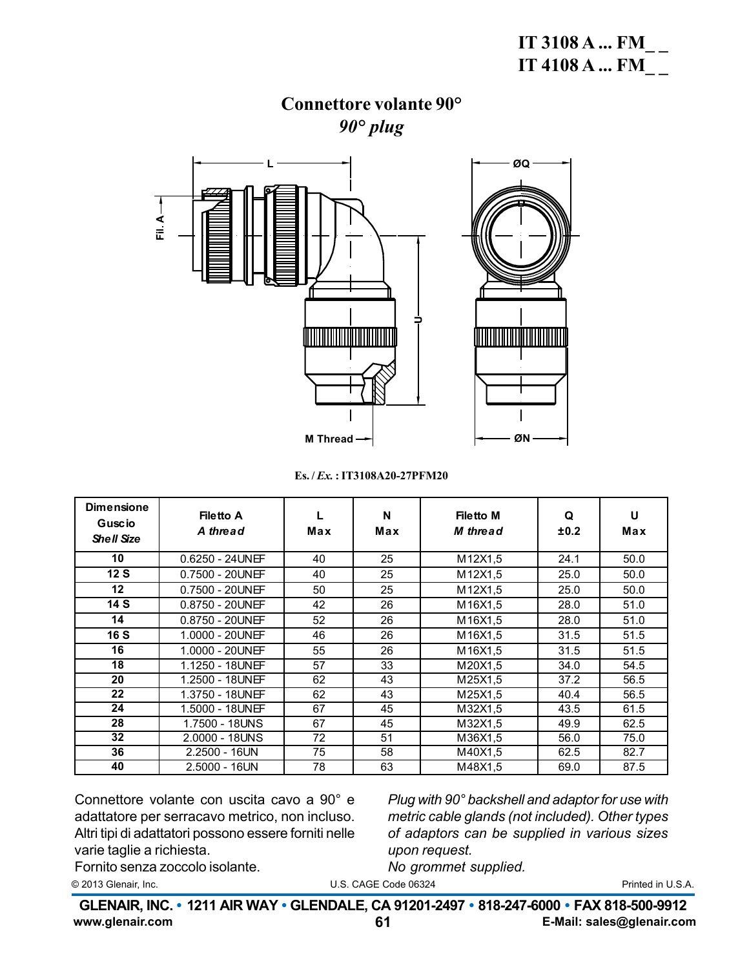### **Connettore volante 90°** *90° plug*



**Es. /** *Ex.* **: IT3108A20-27PFM20**

| <b>Dimensione</b><br>Guscio<br><b>Shell Size</b> | <b>Filetto A</b><br>A thread | Max | N<br>Max | <b>Filetto M</b><br>M thread | Q<br>±0.2 | U<br>Max |
|--------------------------------------------------|------------------------------|-----|----------|------------------------------|-----------|----------|
| 10                                               | $0.6250 - 24$ UNEF           | 40  | 25       | M12X1,5                      | 24.1      | 50.0     |
| 12S                                              | $0.7500 - 20$ UNEF           | 40  | 25       | M12X1,5                      | 25.0      | 50.0     |
| $12 \,$                                          | 0.7500 - 20UNEF              | 50  | 25       | M12X1,5                      | 25.0      | 50.0     |
| 14S                                              | $0.8750 - 20$ UNEF           | 42  | 26       | M16X1,5                      | 28.0      | 51.0     |
| 14                                               | $0.8750 - 20$ UNEF           | 52  | 26       | M16X1,5                      | 28.0      | 51.0     |
| <b>16 S</b>                                      | $1.0000 - 20$ UNEF           | 46  | 26       | M16X1,5                      | 31.5      | 51.5     |
| 16                                               | 1.0000 - 20UNEF              | 55  | 26       | M16X1,5                      | 31.5      | 51.5     |
| 18                                               | 1.1250 - 18UNEF              | 57  | 33       | M20X1,5                      | 34.0      | 54.5     |
| 20                                               | 1.2500 - 18UNEF              | 62  | 43       | M25X1.5                      | 37.2      | 56.5     |
| 22                                               | 1.3750 - 18UNEF              | 62  | 43       | M25X1,5                      | 40.4      | 56.5     |
| 24                                               | 1.5000 - 18UNEF              | 67  | 45       | M32X1.5                      | 43.5      | 61.5     |
| 28                                               | 1.7500 - 18UNS               | 67  | 45       | M32X1,5                      | 49.9      | 62.5     |
| 32                                               | 2.0000 - 18UNS               | 72  | 51       | M36X1,5                      | 56.0      | 75.0     |
| 36                                               | 2.2500 - 16UN                | 75  | 58       | M40X1,5                      | 62.5      | 82.7     |
| 40                                               | $2.5000 - 16UN$              | 78  | 63       | M48X1.5                      | 69.0      | 87.5     |

Connettore volante con uscita cavo a 90° e adattatore per serracavo metrico, non incluso. Altri tipi di adattatori possono essere forniti nelle varie taglie a richiesta. Fornito senza zoccolo isolante.

*Plug with 90° backshell and adaptor for use with metric cable glands (not included). Other types of adaptors can be supplied in various sizes upon request. No grommet supplied.*

© 2013 Glenair, Inc. Printed in U.S.A. (2013 Glenair, Inc. 2014 Code 06324 Printed in U.S.A. 2014 Code 06324 Printed in U.S.A. 2016 Code 06324 Printed in U.S.A. © 2013 Glenair, Inc. Printed in Italy

**www.glenair.com 61 E-Mail: sales@glenair.com** GLENAIR, INC. • 1211 AIR WAY • GLENDALE, CA 91201-2497 • 818-247-6000 • FAX 818-500-9912<br>سوم تنویزی منابع است سیاسی از منابع است. **www.glenair.com 57 E-Mail: sales@glenair.com**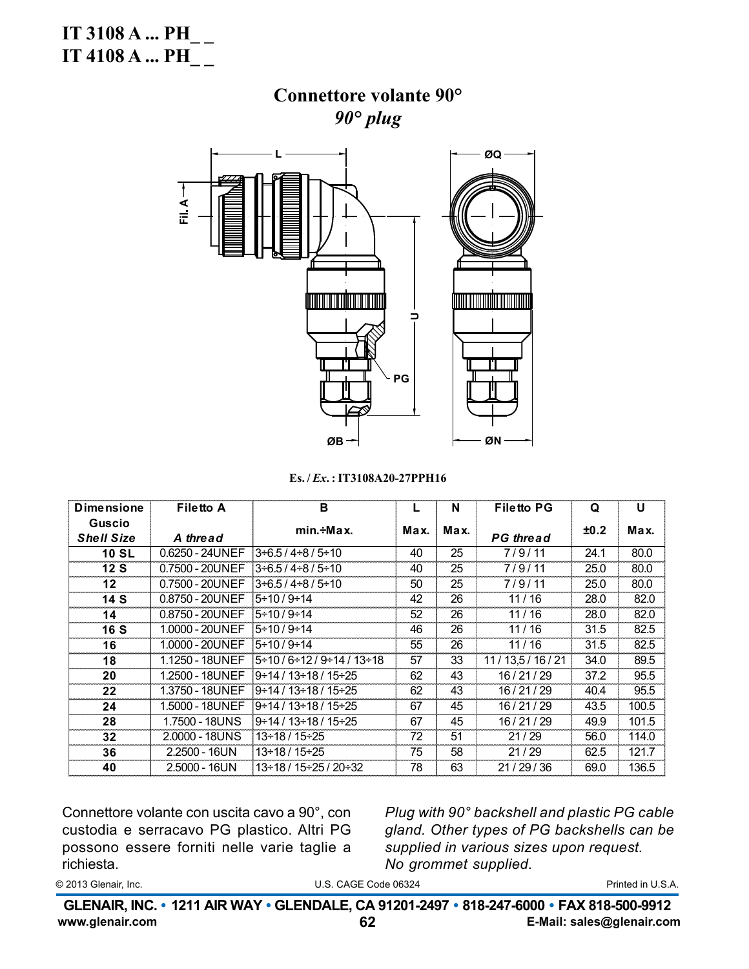IT 3108 A ...  $PH$ <sub>\_\_</sub> **IT 4108 A ... PH** 

# Connettore volante 90°  $90^\circ$  plug



Es./Ex.: IT3108A20-27PPH16

| <b>Dimensione</b>                  | <b>Filetto A</b> | B                                     |      | N    | <b>Filetto PG</b> | Q    | U     |
|------------------------------------|------------------|---------------------------------------|------|------|-------------------|------|-------|
| <b>Guscio</b><br><b>Shell Size</b> | A thread         | $min.+Max.$                           | Max. | Max. | <b>PG</b> thread  | ±0.2 | Max.  |
| <b>10 SL</b>                       | 0.6250 - 24UNEF  | 3÷6.5 / 4÷8 / 5÷10                    | 40   | 25   | 7/9/11            | 24.1 | 80.0  |
| 12S                                | 0.7500 - 20UNEF  | $3 + 6.5 / 4 + 8 / 5 + 10$            | 40   | 25   | 7/9/11            | 25.0 | 80.0  |
| 12 <sub>2</sub>                    | 0.7500 - 20UNEF  | $3 + 6.5 / 4 + 8 / 5 + 10$            | 50   | 25   | 7/9/11            | 25.0 | 80.0  |
| 14S                                | 0.8750 - 20UNEF  | $5 \div 10 / 9 \div 14$               | 42   | 26   | 11/16             | 28.0 | 82.0  |
| 14                                 | 0.8750 - 20UNEF  | 5÷10 / 9÷14                           | 52   | 26   | 11/16             | 28.0 | 82.0  |
| <b>16 S</b>                        | 1.0000 - 20UNEF  | $15 \div 10 / 9 \div 14$              | 46   | 26   | 11/16             | 31.5 | 82.5  |
| 16                                 | 1.0000 - 20UNEF  | $15 \div 10 / 9 \div 14$              | 55   | 26   | 11/16             | 31.5 | 82.5  |
| 18                                 | 1.1250 - 18UNEF  | 5 + 10 / 6 + 12 / 9 + 14 / 13 + 18    | 57   | 33   | 11/13,5/16/21     | 34.0 | 89.5  |
| 20                                 | 1.2500 - 18UNEF  | 9 + 14 / 13 + 18 / 15 + 25            | 62   | 43   | 16/21/29          | 37.2 | 95.5  |
| $22 \,$                            | 1.3750 - 18UNEF  | 9 + 14 / 13 + 18 / 15 + 25            | 62   | 43   | 16/21/29          | 40.4 | 95.5  |
| 24                                 | 1.5000 - 18UNEF  | $9 \div 14 / 13 \div 18 / 15 \div 25$ | 67   | 45   | 16/21/29          | 43.5 | 100.5 |
| 28                                 | 1.7500 - 18UNS   | 9 + 14 / 13 + 18 / 15 + 25            | 67   | 45   | 16/21/29          | 49.9 | 101.5 |
| 32                                 | 2.0000 - 18UNS   | 13÷18 / 15÷25                         | 72   | 51   | 21/29             | 56.0 | 114.0 |
| 36                                 | $2.2500 - 16UN$  | 13÷18 / 15÷25                         | 75   | 58   | 21/29             | 62.5 | 121.7 |
| 40                                 | $2.5000 - 16UN$  | 13 + 18 / 15 + 25 / 20 + 32           | 78   | 63   | 21/29/36          | 69.0 | 136.5 |

Connettore volante con uscita cavo a 90°, con custodia e serracavo PG plastico. Altri PG possono essere forniti nelle varie taglie a richiesta.

Plug with 90° backshell and plastic PG cable gland. Other types of PG backshells can be supplied in various sizes upon request. No grommet supplied.

© 2013 Glenair, Inc.

U.S. CAGE Code 06324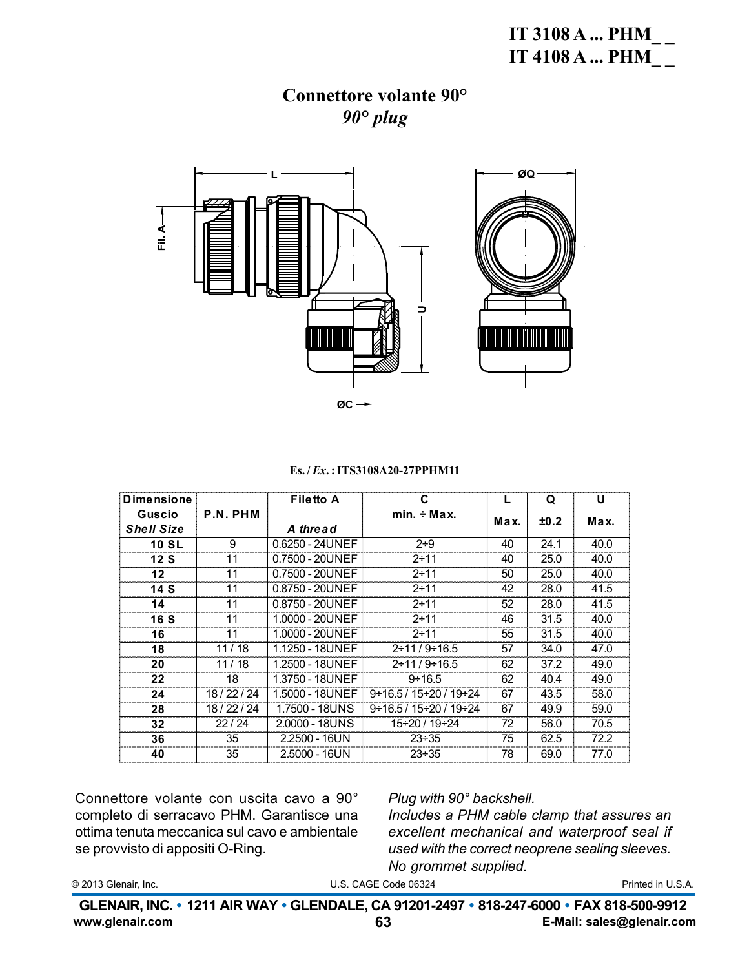### Connettore volante 90°  $90^\circ$  plug



#### Es./*Ex.*: ITS3108A20-27PPHM11

| <b>Dimensione</b> |          | <b>Filetto A</b> | C                         |      | Q    | U    |
|-------------------|----------|------------------|---------------------------|------|------|------|
| Guscio            | P.N. PHM |                  | $min. \div Max.$          | Max. | ±0.2 | Max. |
| <b>Shell Size</b> |          | A thread         |                           |      |      |      |
| <b>10 SL</b>      | 9        | 0.6250 - 24UNEF  | $2 + 9$                   | 40   | 24.1 | 40.0 |
| 12S               | 11       | 0.7500 - 20UNEF  | $2 + 11$                  | 40   | 25.0 | 40.0 |
| $12 \,$           | 11       | 0.7500 - 20UNEF  | $2 + 11$                  | 50   | 25.0 | 40.0 |
| 14S               | 11       | 0.8750 - 20UNEF  | $2 + 11$                  | 42   | 28.0 | 41.5 |
| 14                | 11       | 0.8750 - 20UNEF  | $2 + 11$                  | 52   | 28.0 | 41.5 |
| 16 S              | 11       | 1.0000 - 20UNEF  | $2 + 11$                  | 46   | 31.5 | 40.0 |
| 16                | 11       | 1.0000 - 20UNEF  | $2 + 11$                  | 55   | 31.5 | 40.0 |
| 18                | 11/18    | 1.1250 - 18UNEF  | $2 \div 11 / 9 \div 16.5$ | 57   | 34.0 | 47.0 |
| 20                | 11/18    | 1.2500 - 18UNEF  | $2 \div 11 / 9 \div 16.5$ | 62   | 37.2 | 49.0 |
| 22                | 18       | 1.3750 - 18UNEF  | $9 \div 16.5$             | 62   | 40.4 | 49.0 |
| 24                | 18/22/24 | 1.5000 - 18UNEF  | $9+16.5/15+20/19+24$      | 67   | 43.5 | 58.0 |
| 28                | 18/22/24 | 1.7500 - 18UNS   | $9+16.5/15+20/19+24$      | 67   | 49.9 | 59.0 |
| 32                | 22/24    | 2.0000 - 18UNS   | 15÷20 / 19÷24             | 72   | 56.0 | 70.5 |
| 36                | 35       | $2.2500 - 16UN$  | $23 + 35$                 | 75   | 62.5 | 72.2 |
| 40                | 35       | $2.5000 - 16UN$  | $23 \div 35$              | 78   | 69.0 | 77.0 |

Connettore volante con uscita cavo a 90° completo di serracavo PHM. Garantisce una ottima tenuta meccanica sul cavo e ambientale se provvisto di appositi O-Ring.

#### Plug with 90° backshell.

Includes a PHM cable clamp that assures an excellent mechanical and waterproof seal if used with the correct neoprene sealing sleeves. No grommet supplied.

© 2013 Glenair, Inc.

U.S. CAGE Code 06324

Printed in U.S.A.